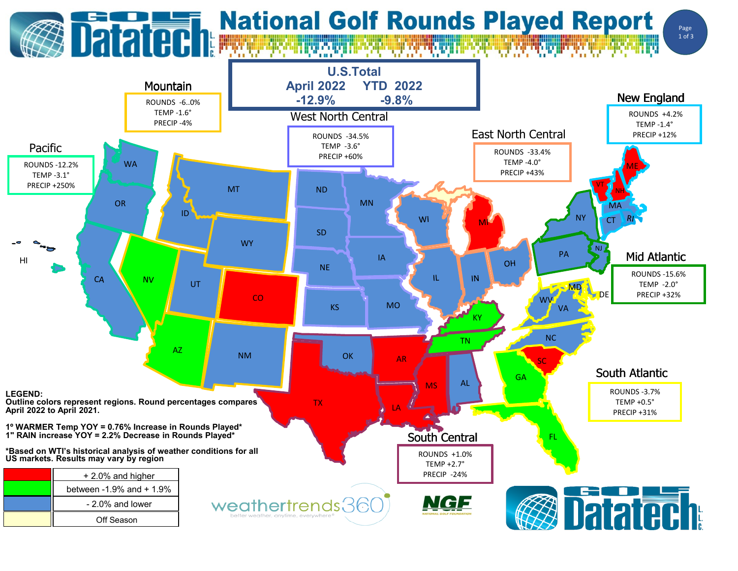

## **Datated National Golf Rounds Played Report**



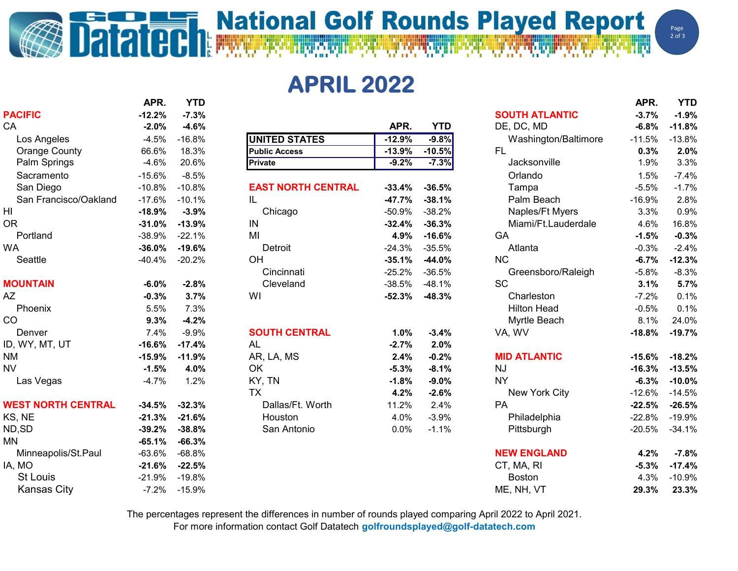## **National Golf Rounds Played Report**

**APRIL 2022**

| <b>PACIFIC</b>            | $-12.2%$ | $-7.3%$          |                           |          |            | <b>SOUTH ATLANTIC</b> | $-3.7%$  | $-1.9%$  |
|---------------------------|----------|------------------|---------------------------|----------|------------|-----------------------|----------|----------|
| CA                        | $-2.0%$  | $-4.6%$          |                           | APR.     | <b>YTD</b> | DE, DC, MD            | $-6.8%$  | $-11.8%$ |
| Los Angeles               | $-4.5%$  | $-16.8%$         | <b>UNITED STATES</b>      | $-12.9%$ | $-9.8%$    | Washington/Baltimore  | $-11.5%$ | $-13.8%$ |
| <b>Orange County</b>      | 66.6%    | 18.3%            | <b>Public Access</b>      | $-13.9%$ | $-10.5%$   | <b>FL</b>             | 0.3%     | 2.0%     |
| Palm Springs              | $-4.6%$  | 20.6%            | <b>Private</b>            | $-9.2%$  | $-7.3%$    | Jacksonville          | 1.9%     | 3.3%     |
| Sacramento                | $-15.6%$ | $-8.5%$          |                           |          |            | Orlando               | 1.5%     | $-7.4%$  |
| San Diego                 | $-10.8%$ | $-10.8%$         | <b>EAST NORTH CENTRAL</b> | $-33.4%$ | $-36.5%$   | Tampa                 | $-5.5%$  | $-1.7%$  |
| San Francisco/Oakland     | $-17.6%$ | $-10.1%$         | IL.                       | $-47.7%$ | $-38.1%$   | Palm Beach            | $-16.9%$ | 2.8%     |
| HI                        | $-18.9%$ | $-3.9%$          | Chicago                   | $-50.9%$ | $-38.2%$   | Naples/Ft Myers       | 3.3%     | 0.9%     |
| <b>OR</b>                 | $-31.0%$ | $-13.9%$         | IN                        | $-32.4%$ | $-36.3%$   | Miami/Ft.Lauderdale   | 4.6%     | 16.8%    |
| Portland                  | $-38.9%$ | $-22.1%$         | MI                        | 4.9%     | $-16.6%$   | GA                    | $-1.5%$  | $-0.3%$  |
| <b>WA</b>                 | $-36.0%$ | $-19.6%$         | Detroit                   | $-24.3%$ | $-35.5%$   | Atlanta               | $-0.3%$  | $-2.4%$  |
| Seattle                   | $-40.4%$ | $-20.2%$         | OH                        | $-35.1%$ | $-44.0%$   | <b>NC</b>             | $-6.7%$  | $-12.3%$ |
|                           |          |                  | Cincinnati                | $-25.2%$ | $-36.5%$   | Greensboro/Raleigh    | $-5.8%$  | $-8.3%$  |
| <b>MOUNTAIN</b>           | $-6.0%$  | $-2.8%$          | Cleveland                 | $-38.5%$ | $-48.1%$   | <b>SC</b>             | 3.1%     | 5.7%     |
| AZ                        | $-0.3%$  | 3.7%             | WI                        | $-52.3%$ | $-48.3%$   | Charleston            | $-7.2%$  | 0.1%     |
| Phoenix                   | 5.5%     | 7.3%             |                           |          |            | <b>Hilton Head</b>    | $-0.5%$  | 0.1%     |
| CO                        | 9.3%     | $-4.2%$          |                           |          |            | Myrtle Beach          | 8.1%     | 24.0%    |
| Denver                    | 7.4%     | $-9.9%$          | <b>SOUTH CENTRAL</b>      | 1.0%     | $-3.4%$    | VA, WV                | $-18.8%$ | $-19.7%$ |
| ID, WY, MT, UT            | $-16.6%$ | $-17.4%$         | AL                        | $-2.7%$  | 2.0%       |                       |          |          |
| NM.                       | $-15.9%$ | $-11.9%$         | AR, LA, MS                | 2.4%     | $-0.2%$    | <b>MID ATLANTIC</b>   | $-15.6%$ | $-18.2%$ |
| <b>NV</b>                 | $-1.5%$  | 4.0%             | <b>OK</b>                 | $-5.3%$  | $-8.1%$    | <b>NJ</b>             | $-16.3%$ | $-13.5%$ |
| Las Vegas                 | $-4.7%$  | 1.2%             | KY, TN                    | $-1.8%$  | $-9.0%$    | <b>NY</b>             | $-6.3%$  | $-10.0%$ |
|                           |          |                  | TX                        | 4.2%     | $-2.6%$    | New York City         | $-12.6%$ | $-14.5%$ |
| <b>WEST NORTH CENTRAL</b> | $-34.5%$ | $-32.3%$         | Dallas/Ft. Worth          | 11.2%    | 2.4%       | PA                    | $-22.5%$ | $-26.5%$ |
| KS, NE                    | $-21.3%$ | $-21.6%$         | Houston                   | 4.0%     | $-3.9%$    | Philadelphia          | $-22.8%$ | $-19.9%$ |
| ND,SD                     | $-39.2%$ | $-38.8%$         | San Antonio               | 0.0%     | $-1.1%$    | Pittsburgh            | $-20.5%$ | $-34.1%$ |
| MN                        | $-65.1%$ | $-66.3%$         |                           |          |            |                       |          |          |
| Minneapolis/St.Paul       | $-63.6%$ | $-68.8%$         |                           |          |            | <b>NEW ENGLAND</b>    | 4.2%     | $-7.8%$  |
| IA, MO                    | $-21.6%$ | $-22.5%$         |                           |          |            | CT, MA, RI            | $-5.3%$  | $-17.4%$ |
| <b>St Louis</b>           | $-21.9%$ | $-19.8%$         |                           |          |            | <b>Boston</b>         | 4.3%     | $-10.9%$ |
| <b>Kansas City</b>        |          | $-7.2\% -15.9\%$ |                           |          |            | ME, NH, VT            | 29.3%    | 23.3%    |

Dataten

| PACIFIC                   | $-12.2\%$ | -7.3%    |                           |          |            | <b>SOUTH ATLANTIC</b> | $-3.7%$       | $-1.9%$   |
|---------------------------|-----------|----------|---------------------------|----------|------------|-----------------------|---------------|-----------|
| CA                        | $-2.0%$   | $-4.6%$  |                           | APR.     | <b>YTD</b> | DE, DC, MD            | $-6.8%$       | $-11.8%$  |
| Los Angeles               | $-4.5%$   | $-16.8%$ | <b>UNITED STATES</b>      | $-12.9%$ | $-9.8%$    | Washington/Baltimore  | $-11.5%$      | $-13.8%$  |
| <b>Orange County</b>      | 66.6%     | 18.3%    | <b>Public Access</b>      | $-13.9%$ | $-10.5%$   | <b>FL</b>             | 0.3%          | 2.0%      |
| Palm Springs              | $-4.6%$   | 20.6%    | Private                   | $-9.2%$  | $-7.3%$    | Jacksonville          | 1.9%          | 3.3%      |
| Sacramento                | $-15.6%$  | $-8.5%$  |                           |          |            | Orlando               | 1.5%          | $-7.4%$   |
| San Diego                 | $-10.8%$  | $-10.8%$ | <b>EAST NORTH CENTRAL</b> | $-33.4%$ | $-36.5%$   | Tampa                 | $-5.5%$       | $-1.7%$   |
| San Francisco/Oakland     | $-17.6%$  | $-10.1%$ | IL                        | $-47.7%$ | $-38.1%$   | Palm Beach            | $-16.9%$      | 2.8%      |
| HI                        | $-18.9%$  | $-3.9%$  | Chicago                   | $-50.9%$ | $-38.2%$   | Naples/Ft Myers       | 3.3%          | 0.9%      |
| OR                        | $-31.0%$  | $-13.9%$ | IN                        | $-32.4%$ | $-36.3%$   | Miami/Ft.Lauderdale   | 4.6%          | 16.8%     |
| Portland                  | $-38.9%$  | $-22.1%$ | MI                        | 4.9%     | $-16.6%$   | GA                    | $-1.5%$       | $-0.3%$   |
| WA                        | $-36.0%$  | $-19.6%$ | Detroit                   | $-24.3%$ | $-35.5%$   | Atlanta               | $-0.3%$       | $-2.4%$   |
| Seattle                   | $-40.4%$  | $-20.2%$ | OH                        | $-35.1%$ | $-44.0%$   | <b>NC</b>             | $-6.7%$       | $-12.3%$  |
|                           |           |          | Cincinnati                | $-25.2%$ | $-36.5%$   | Greensboro/Raleigh    | $-5.8%$       | $-8.3%$   |
| <b>MOUNTAIN</b>           | $-6.0%$   | $-2.8%$  | Cleveland                 | $-38.5%$ | $-48.1%$   | <b>SC</b>             | 3.1%          | 5.7%      |
| AΖ                        | $-0.3%$   | 3.7%     | WI                        | $-52.3%$ | $-48.3%$   | Charleston            | $-7.2%$       | 0.1%      |
| Phoenix                   | 5.5%      | 7.3%     |                           |          |            | <b>Hilton Head</b>    | $-0.5%$       | 0.1%      |
| CO                        | 9.3%      | $-4.2%$  |                           |          |            | Myrtle Beach          | 8.1%          | 24.0%     |
| Denver                    | 7.4%      | $-9.9%$  | <b>SOUTH CENTRAL</b>      | 1.0%     | $-3.4%$    | VA, WV                | $-18.8%$      | $-19.7%$  |
| ID, WY, MT, UT            | $-16.6%$  | $-17.4%$ | AL                        | $-2.7%$  | 2.0%       |                       |               |           |
| NΜ                        | $-15.9%$  | $-11.9%$ | AR, LA, MS                | 2.4%     | $-0.2%$    | <b>MID ATLANTIC</b>   | $-15.6%$      | $-18.2%$  |
| NV                        | $-1.5%$   | 4.0%     | OK                        | $-5.3%$  | $-8.1%$    | <b>NJ</b>             | $-16.3%$      | $-13.5%$  |
| Las Vegas                 | $-4.7%$   | 1.2%     | KY, TN                    | $-1.8%$  | $-9.0%$    | <b>NY</b>             | $-6.3%$       | $-10.0%$  |
|                           |           |          | <b>TX</b>                 | 4.2%     | $-2.6%$    | New York City         | $-12.6%$      | $-14.5%$  |
| <b>WEST NORTH CENTRAL</b> | $-34.5%$  | $-32.3%$ | Dallas/Ft. Worth          | 11.2%    | 2.4%       | PA                    | $-22.5%$      | $-26.5%$  |
| KS, NE                    | $-21.3%$  | $-21.6%$ | Houston                   | 4.0%     | $-3.9%$    | Philadelphia          | $-22.8%$      | $-19.9%$  |
| ND,SD                     | $-39.2%$  | $-38.8%$ | San Antonio               | 0.0%     | $-1.1%$    | Pittsburgh            | $-20.5%$      | $-34.1%$  |
| MΝ                        | $-65.1%$  | $-66.3%$ |                           |          |            |                       |               |           |
| Minneapolis/St.Paul       | $-63.6%$  | $-68.8%$ |                           |          |            | <b>NEW ENGLAND</b>    | 4.2%          | $-7.8%$   |
| IA, MO                    | $-21.6%$  | $-22.5%$ |                           |          |            | CT, MA, RI            | $-5.3%$       | $-17.4%$  |
| $St$ $In$                 | $-21.0\%$ | $-10.8%$ |                           |          |            | <b>Roston</b>         | $\lambda$ 30% | $-10.9\%$ |

|                           | APR.     | <b>YTD</b> |                           |          |            |                       | APR.     | <b>YTD</b> |
|---------------------------|----------|------------|---------------------------|----------|------------|-----------------------|----------|------------|
| <b>PACIFIC</b>            | $-12.2%$ | $-7.3%$    |                           |          |            | <b>SOUTH ATLANTIC</b> | $-3.7%$  | $-1.9%$    |
| CA                        | $-2.0%$  | $-4.6%$    |                           | APR.     | <b>YTD</b> | DE, DC, MD            | $-6.8%$  | $-11.8%$   |
| Los Angeles               | $-4.5%$  | $-16.8%$   | <b>UNITED STATES</b>      | $-12.9%$ | $-9.8%$    | Washington/Baltimore  | $-11.5%$ | $-13.8%$   |
| <b>Orange County</b>      | 66.6%    | 18.3%      | <b>Public Access</b>      | $-13.9%$ | $-10.5%$   | <b>FL</b>             | 0.3%     | 2.0%       |
| Palm Springs              | $-4.6%$  | 20.6%      | Private                   | $-9.2%$  | $-7.3%$    | Jacksonville          | 1.9%     | 3.3%       |
| Sacramento                | $-15.6%$ | $-8.5%$    |                           |          |            | Orlando               | 1.5%     | $-7.4%$    |
| San Diego                 | $-10.8%$ | $-10.8%$   | <b>EAST NORTH CENTRAL</b> | $-33.4%$ | $-36.5%$   | Tampa                 | $-5.5%$  | $-1.7%$    |
| San Francisco/Oakland     | $-17.6%$ | $-10.1%$   | IL                        | $-47.7%$ | $-38.1%$   | Palm Beach            | $-16.9%$ | 2.8%       |
| HI                        | $-18.9%$ | $-3.9%$    | Chicago                   | $-50.9%$ | $-38.2%$   | Naples/Ft Myers       | 3.3%     | 0.9%       |
| 0R                        | $-31.0%$ | $-13.9%$   | IN                        | $-32.4%$ | $-36.3%$   | Miami/Ft.Lauderdale   | 4.6%     | 16.8%      |
| Portland                  | $-38.9%$ | $-22.1%$   | MI                        | 4.9%     | $-16.6%$   | GA                    | $-1.5%$  | $-0.3%$    |
| WA                        | $-36.0%$ | $-19.6%$   | Detroit                   | $-24.3%$ | $-35.5%$   | Atlanta               | $-0.3%$  | $-2.4%$    |
| Seattle                   | $-40.4%$ | $-20.2%$   | OH                        | $-35.1%$ | $-44.0%$   | NC                    | $-6.7%$  | $-12.3%$   |
|                           |          |            | Cincinnati                | $-25.2%$ | $-36.5%$   | Greensboro/Raleigh    | $-5.8%$  | $-8.3%$    |
| <b>MOUNTAIN</b>           | $-6.0%$  | $-2.8%$    | Cleveland                 | $-38.5%$ | $-48.1%$   | <b>SC</b>             | 3.1%     | 5.7%       |
| AΖ                        | $-0.3%$  | 3.7%       | WI                        | $-52.3%$ | $-48.3%$   | Charleston            | $-7.2%$  | 0.1%       |
| Phoenix                   | 5.5%     | 7.3%       |                           |          |            | <b>Hilton Head</b>    | $-0.5%$  | 0.1%       |
| CO                        | 9.3%     | $-4.2%$    |                           |          |            | Myrtle Beach          | 8.1%     | 24.0%      |
| Denver                    | 7.4%     | $-9.9%$    | <b>SOUTH CENTRAL</b>      | 1.0%     | $-3.4%$    | VA, WV                | $-18.8%$ | $-19.7%$   |
| ID, WY, MT, UT            | $-16.6%$ | $-17.4%$   | AL                        | $-2.7%$  | 2.0%       |                       |          |            |
| ΝM                        | $-15.9%$ | $-11.9%$   | AR, LA, MS                | 2.4%     | $-0.2%$    | <b>MID ATLANTIC</b>   | $-15.6%$ | $-18.2%$   |
| <b>NV</b>                 | $-1.5%$  | 4.0%       | OK                        | $-5.3%$  | $-8.1%$    | <b>NJ</b>             | $-16.3%$ | $-13.5%$   |
| Las Vegas                 | $-4.7%$  | 1.2%       | KY, TN                    | $-1.8%$  | $-9.0%$    | <b>NY</b>             | $-6.3%$  | $-10.0%$   |
|                           |          |            | <b>TX</b>                 | 4.2%     | $-2.6%$    | New York City         | $-12.6%$ | $-14.5%$   |
| <b>WEST NORTH CENTRAL</b> | $-34.5%$ | $-32.3%$   | Dallas/Ft. Worth          | 11.2%    | 2.4%       | PA                    | $-22.5%$ | $-26.5%$   |
| KS, NE                    | $-21.3%$ | $-21.6%$   | Houston                   | 4.0%     | $-3.9%$    | Philadelphia          | $-22.8%$ | $-19.9%$   |
| ND,SD                     | $-39.2%$ | $-38.8%$   | San Antonio               | 0.0%     | $-1.1%$    | Pittsburgh            | $-20.5%$ | $-34.1%$   |
| MΝ                        | $-65.1%$ | $-66.3%$   |                           |          |            |                       |          |            |
| Minneapolis/St.Paul       | $-63.6%$ | $-68.8%$   |                           |          |            | <b>NEW ENGLAND</b>    | 4.2%     | $-7.8%$    |
| IA, MO                    | $-21.6%$ | $-22.5%$   |                           |          |            | CT, MA, RI            | $-5.3%$  | $-17.4%$   |
| <b>St Louis</b>           | $-21.9%$ | $-19.8%$   |                           |          |            | <b>Boston</b>         | 4.3%     | $-10.9%$   |
| <b>Kansas City</b>        | $-7.2%$  | $-15.9%$   |                           |          |            | ME, NH, VT            | 29.3%    | 23.3%      |
|                           |          |            |                           |          |            |                       |          |            |

The percentages represent the differences in number of rounds played comparing April 2022 to April 2021.

For more information contact Golf Datatech **golfroundsplayed@golf-datatech.com**